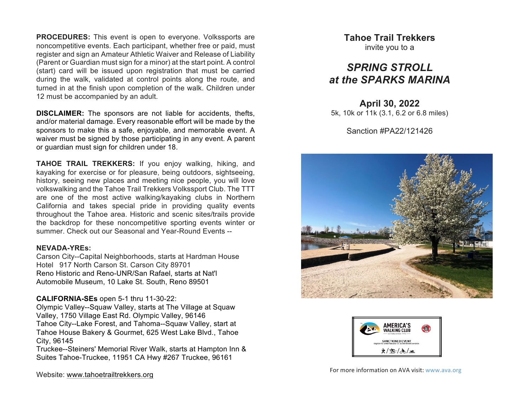**PROCEDURES:** This event is open to everyone. Volkssports are noncompetitive events. Each participant, whether free or paid, must register and sign an Amateur Athletic Waiver and Release of Liability (Parent or Guardian must sign for a minor) at the start point. A control (start) card will be issued upon registration that must be carried during the walk, validated at control points along the route, and turned in at the finish upon completion of the walk. Children under 12 must be accompanied by an adult.

**DISCLAIMER:** The sponsors are not liable for accidents, thefts, and/or material damage. Every reasonable effort will be made by the sponsors to make this a safe, enjoyable, and memorable event. A waiver must be signed by those participating in any event. A parent or guardian must sign for children under 18.

**TAHOE TRAIL TREKKERS:** If you enjoy walking, hiking, and kayaking for exercise or for pleasure, being outdoors, sightseeing, history, seeing new places and meeting nice people, you will love volkswalking and the Tahoe Trail Trekkers Volkssport Club. The TTT are one of the most active walking/kayaking clubs in Northern California and takes special pride in providing quality events throughout the Tahoe area. Historic and scenic sites/trails provide the backdrop for these noncompetitive sporting events winter or summer. Check out our Seasonal and Year-Round Events --

#### **NEVADA-YREs:**

Carson City--Capital Neighborhoods, starts at Hardman House Hotel 917 North Carson St. Carson City 89701 Reno Historic and Reno-UNR/San Rafael, starts at Nat'l Automobile Museum, 10 Lake St. South, Reno 89501

### **CALIFORNIA-SEs** open 5-1 thru 11-30-22:

Olympic Valley--Squaw Valley, starts at The Village at Squaw Valley, 1750 Village East Rd. Olympic Valley, 96146 Tahoe City--Lake Forest, and Tahoma--Squaw Valley, start at Tahoe House Bakery & Gourmet, 625 West Lake Blvd., Tahoe City, 96145

Truckee--Steiners' Memorial River Walk, starts at Hampton Inn & Suites Tahoe-Truckee, 11951 CA Hwy #267 Truckee, 96161

**Tahoe Trail Trekkers** invite you to a

# *SPRING STROLL at the SPARKS MARINA*

**April 30, 2022** 5k, 10k or 11k (3.1, 6.2 or 6.8 miles)

Sanction #PA22/121426





For more information on AVA visit: www.ava.org

Website: www.tahoetrailtrekkers.org